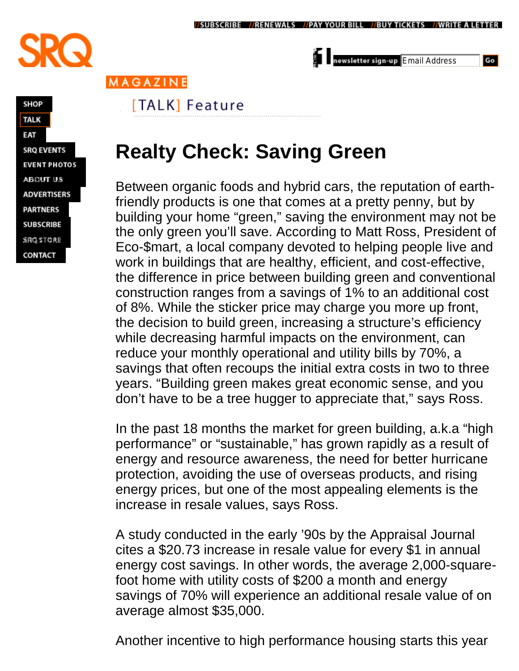

ewsletter sign-up Email Address

Go

MAGAZINE

## [TALK] Feature

## **SHOP TALK** EAT **SRQ EVENTS EVENT PHOTOS ABOUT US ADVERTISERS PARTNERS SUBSCRIBE** SRQ STORE CONTACT

## **Realty Check: Saving Green**

Between organic foods and hybrid cars, the reputation of earthfriendly products is one that comes at a pretty penny, but by building your home "green,"saving the environment may not be the only green you'll save. According to Matt Ross, President of Eco-\$mart, a local company devoted to helping people live and work in buildings that are healthy, efficient, and cost-effective, the difference in price between building green and conventional construction ranges from a savings of 1% to an additional cost of 8%. While the sticker price may charge you more up front, the decision to build green, increasing a structure's efficiency while decreasing harmful impacts on the environment, can reduce your monthly operational and utility bills by 70%, a savings that often recoups the initial extra costs in two to three years. "Building green makes great economic sense, and you don't have to be a tree hugger to appreciate that," says Ross.

In the past 18 months the market for green building, a.k.a "high performance" or "sustainable," has grown rapidly as a result of energy and resource awareness, the need for better hurricane protection, avoiding the use of overseas products, and rising energy prices, but one of the most appealing elements is the increase in resale values, says Ross.

A study conducted in the early '90s by the Appraisal Journal cites a \$20.73 increase in resale value for every \$1 in annual energy cost savings. In other words, the average 2,000-squarefoot home with utility costs of \$200 a month and energy savings of 70% will experience an additional resale value of on average almost \$35,000.

Another incentive to high performance housing starts this year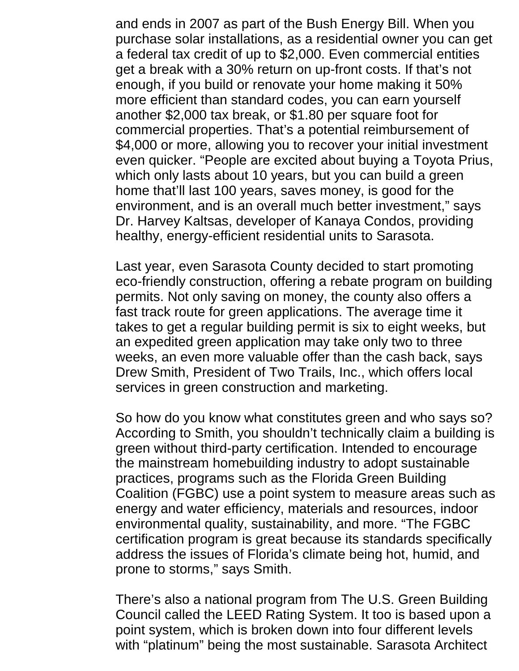and ends in 2007 as part of the Bush Energy Bill. When you purchase solar installations, as a residential owner you can get a federal tax credit of up to \$2,000. Even commercial entities get a break with a 30% return on up-front costs. If that's not enough, if you build or renovate your home making it 50% more efficient than standard codes, you can earn yourself another \$2,000 tax break, or \$1.80 per square foot for commercial properties. That's a potential reimbursement of \$4,000 or more, allowing you to recover your initial investment even quicker. "People are excited about buying a Toyota Prius, which only lasts about 10 years, but you can build a green home that'll last 100 years, saves money, is good for the environment, and is an overall much better investment,"says Dr. Harvey Kaltsas, developer of Kanaya Condos, providing healthy, energy-efficient residential units to Sarasota.

Last year, even Sarasota County decided to start promoting eco-friendly construction, offering a rebate program on building permits. Not only saving on money, the county also offers a fast track route for green applications. The average time it takes to get a regular building permit is six to eight weeks, but an expedited green application may take only two to three weeks, an even more valuable offer than the cash back, says Drew Smith, President of Two Trails, Inc., which offers local services in green construction and marketing.

So how do you know what constitutes green and who says so? According to Smith, you shouldn't technically claim a building is green without third-party certification. Intended to encourage the mainstream homebuilding industry to adopt sustainable practices, programs such as the Florida Green Building Coalition (FGBC) use a point system to measure areas such as energy and water efficiency, materials and resources, indoor environmental quality, sustainability, and more. "The FGBC certification program is great because its standards specifically address the issues of Florida's climate being hot, humid, and prone to storms," says Smith.

There's also a national program from The U.S. Green Building Council called the LEED Rating System. It too is based upon a point system, which is broken down into four different levels with "platinum" being the most sustainable. Sarasota Architect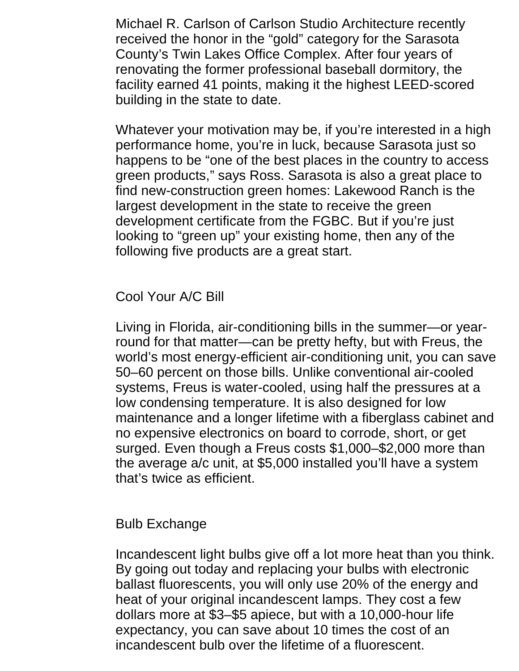Michael R. Carlson of Carlson Studio Architecture recently received the honor in the "gold" category for the Sarasota County's Twin Lakes Office Complex. After four years of renovating the former professional baseball dormitory, the facility earned 41 points, making it the highest LEED-scored building in the state to date.

Whatever your motivation may be, if you're interested in a high performance home, you're in luck, because Sarasota just so happens to be "one of the best places in the country to access green products,"says Ross. Sarasota is also a great place to find new-construction green homes: Lakewood Ranch is the largest development in the state to receive the green development certificate from the FGBC. But if you're just looking to "green up"your existing home, then any of the following five products are a great start.

Cool Your A/C Bill

Living in Florida, air-conditioning bills in the summer— or yearround for that matter— can be pretty hefty, but with Freus, the world's most energy-efficient air-conditioning unit, you can save 50–60 percent on those bills. Unlike conventional air-cooled systems, Freus is water-cooled, using half the pressures at a low condensing temperature. It is also designed for low maintenance and a longer lifetime with a fiberglass cabinet and no expensive electronics on board to corrode, short, or get surged. Even though a Freus costs \$1,000–\$2,000 more than the average a/c unit, at \$5,000 installed you'll have a system that's twice as efficient.

Bulb Exchange

Incandescent light bulbs give off a lot more heat than you think. By going out today and replacing your bulbs with electronic ballast fluorescents, you will only use 20% of the energy and heat of your original incandescent lamps. They cost a few dollars more at \$3–\$5 apiece, but with a 10,000-hour life expectancy, you can save about 10 times the cost of an incandescent bulb over the lifetime of a fluorescent.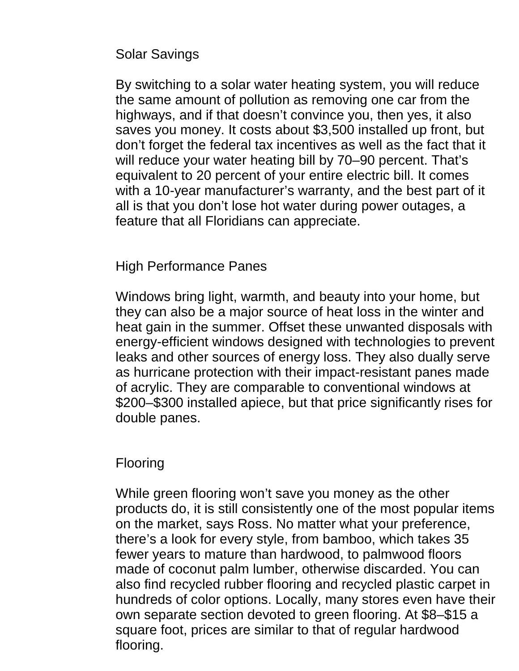Solar Savings

By switching to a solar water heating system, you will reduce the same amount of pollution as removing one car from the highways, and if that doesn't convince you, then yes, it also saves you money. It costs about \$3,500 installed up front, but don't forget the federal tax incentives as well as the fact that it will reduce your water heating bill by 70–90 percent. That's equivalent to 20 percent of your entire electric bill. It comes with a 10-year manufacturer's warranty, and the best part of it all is that you don't lose hot water during power outages, a feature that all Floridians can appreciate.

High Performance Panes

Windows bring light, warmth, and beauty into your home, but they can also be a major source of heat loss in the winter and heat gain in the summer. Offset these unwanted disposals with energy-efficient windows designed with technologies to prevent leaks and other sources of energy loss. They also dually serve as hurricane protection with their impact-resistant panes made of acrylic. They are comparable to conventional windows at \$200–\$300 installed apiece, but that price significantly rises for double panes.

## Flooring

While green flooring won't save you money as the other products do, it is still consistently one of the most popular items on the market, says Ross. No matter what your preference, there's a look for every style, from bamboo, which takes 35 fewer years to mature than hardwood, to palmwood floors made of coconut palm lumber, otherwise discarded. You can also find recycled rubber flooring and recycled plastic carpet in hundreds of color options. Locally, many stores even have their own separate section devoted to green flooring. At \$8–\$15 a square foot, prices are similar to that of regular hardwood flooring.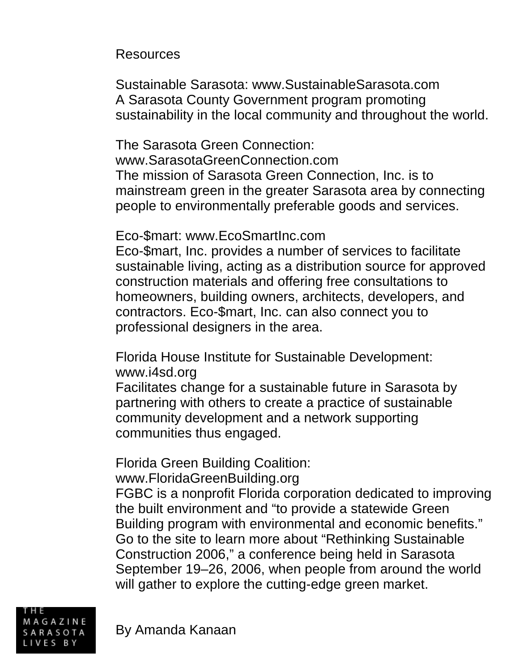Resources

Sustainable Sarasota: www.SustainableSarasota.com A Sarasota County Government program promoting sustainability in the local community and throughout the world.

The Sarasota Green Connection: www.SarasotaGreenConnection.com The mission of Sarasota Green Connection, Inc. is to mainstream green in the greater Sarasota area by connecting people to environmentally preferable goods and services.

Eco-\$mart: www.EcoSmartInc.com

Eco-\$mart, Inc. provides a number of services to facilitate sustainable living, acting as a distribution source for approved construction materials and offering free consultations to homeowners, building owners, architects, developers, and contractors. Eco-\$mart, Inc. can also connect you to professional designers in the area.

Florida House Institute for Sustainable Development: www.i4sd.org

Facilitates change for a sustainable future in Sarasota by partnering with others to create a practice of sustainable community development and a network supporting communities thus engaged.

Florida Green Building Coalition:

www.FloridaGreenBuilding.org

FGBC is a nonprofit Florida corporation dedicated to improving the built environment and "to provide a statewide Green Building program with environmental and economic benefits." Go to the site to learn more about "Rethinking Sustainable Construction 2006,"a conference being held in Sarasota September 19–26, 2006, when people from around the world will gather to explore the cutting-edge green market.